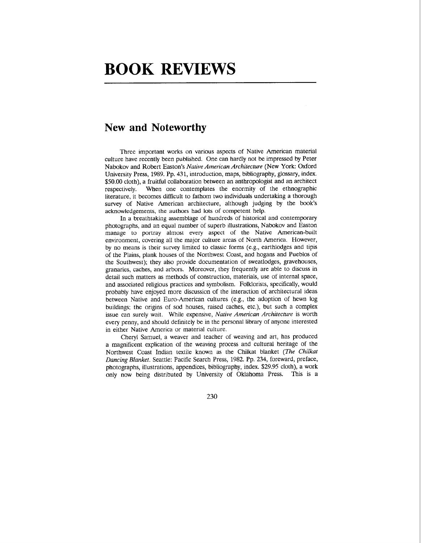## **BOOK REVIEWS**

## **New and Noteworthy**

Three important works on various aspects of Native American material culture have recently been published. One can hardly not be impressed by Peter Nabokov and Robert Easton's Native American Architecture (New York: Oxford University Press, 1989. Pp. 431, introduction, maps, bibliography, glossary, index. \$50.00 cloth), a fruitful collaboration between an anthropologist and an architect respectively. When one contemplates the enormity of the ethnographic literature, it becomes difficult to fathom two individuals undertaking a thorough survey of Native American architecture, although judging by the book's acknowledgements, the authors had lots of competent help.

In a breathtaking assemblage of hundreds of historical and contemporary photographs, and an equal number of superb illustrations, Nabokov and Easton manage to portray almost every aspect of the Native American-built environment, covering all the major culture areas of North America. However, by no means is their survey limited to classic forms (e.g., earthlodges and tipis of the Plains, plank houses of the Northwest Coast, and hogans and Pueblos of the Southwest); they also provide documentation of sweatlodges, gravehouses, granaries, caches, and arbors. Moreover, they frequently are able to discuss in detail such matters as methods of construction, materials, use of internal space, and associated religious practices and symbolism. Folklorists, specifically, would probably have enjoyed more discussion of the interaction of architectural ideas between Native and Euro-American cultures (e.g., the adoption of hewn log buildings; the origins of sod houses, raised caches, etc.), but such a complex issue can surely wait. While expensive, Native American Architecture is worth every penny, and should definitely be in the personal library of anyone interested in either Native America or material culture.

Cheryl Samuel, a weaver and teacher of weaving and art, has produced a magnificent explication of the weaving process and cultural heritage of the Northwest Coast Indian textile known as the Chilkat blanket (The Chilkat Dancing Blanket. Seattle: Pacific Search Press, 1982. Pp. 234, foreward, preface, photographs, illustrations, appendices, bibliography, index. \$29.95 cloth), a work only now being distributed by University of Oklahoma Press. This is a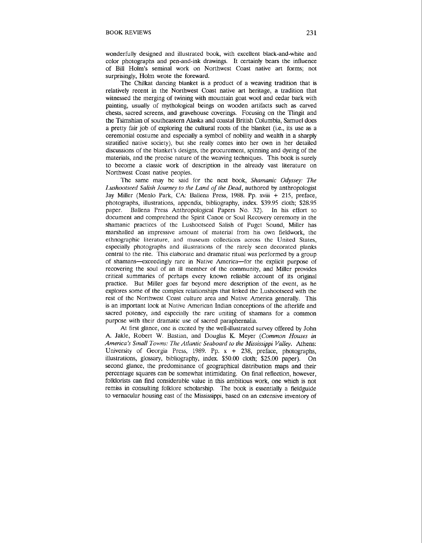wonderfully designed and illustrated book, with excellent black-and-white and color photographs and pen-and-ink drawings. It certainly bears the influence of Bill Holm's seminal work on Northwest Coast native art forms; not surprisingly, Holm wrote the foreward.

The Chilkat dancing blanket is a product of a weaving tradition that is relatively recent in the Northwest Coast native art heritage, a tradition that witnessed the merging of twining with mountain goat wool and cedar bark with painting, usually of mythological beings on wooden artifacts such as carved chests, sacred screens, and gravehouse coverings. Focusing on the Tlingit and the Tsimshian of southeastern Alaska and coastal British Columbia, Samuel does a pretty fair job of exploring the cultural roots of the blanket (i.e., its use as a ceremonial costume and especially a symbol of nobility and wealth in a sharply stratified native society), but she really comes into her own in her detailed discussions of the blanket's designs, the procurement, spinning and dyeing of the materials, and the precise nature of the weaving techniques. This book is surely to become a classic work of description in the already vast literature on Northwest Coast native peoples.

The same may be said for the next book, *Shamanic Odyssey: The Lushootseed Salish Journey to the Land of the Dead,* authored by anthropologist Jay Miller (Menlo Park, CA: Ballena Press, 1988. Pp. xviii + 215, preface, photographs, illustrations, appendix, bibliography, index. \$39.95 cloth; \$28.95 paper. Ballena Press Anthropological Papers No. 32). In his effort to document and comprehend the Spirit Canoe or Soul Recovery ceremony in the shamanic practices of the Lushootseed Salish of Puget Sound, Miller has marshalled an impressive amount of material from his own fieldwork, the ethnographic literature, and museum collections across the United States, especially photographs and illustrations of the rarely seen decorated planks central to the rite. This elaborate and dramatic ritual was performed by a group of shamans--exceedingly rare in Native America-for the explicit purpose of recovering the soul of an ill member of the community, and Miller provides critical summaries of perhaps every known reliable account of its original practice. But Miller goes far beyond mere description of the event, as he explores some of the complex relationships that linked the Lushootseed with the rest of the Northwest Coast culture area and Native America generally. This is an important look at Native American Indian conceptions of the afterlife and sacred potency, and especially the rare uniting of shamans for a common purpose with their dramatic use of sacred paraphernalia.

At first glance, one is excited by the well-illustrated survey offered by John A. Jakle, Robert W. Bastian, and Douglas K. Meyer *(Common Houses in* America's Small Towns: The Atlantic Seaboard to the Mississippi Valley. Athens: University of Georgia Press, 1989. Pp. x + 238, preface, photographs, illustrations, glossary, bibliography, index. \$50.00 cloth; \$25.00 paper). On second glance, the predominance of geographical distribution maps and their percentage squares can be somewhat intimidating. On final reflection, however, folklorists can find considerable value in this ambitious work, one which is not remiss in consulting folklore scholarship. The book is essentially a fieldguide to vernacular housing east of the Mississippi, based on an extensive inventory of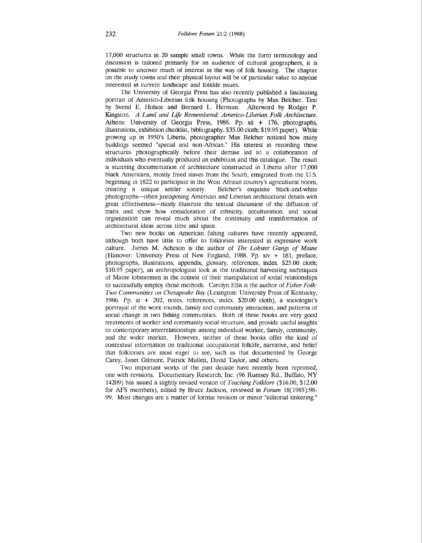17,000 structures in 20 sample small towns. While the form terminology and discussion is tailored primarily for an audience of cultural geographers, it is possible to uncover much of interest in the way of folk housing. The chapter on the study towns and their physical layout will be of particular value to anyone interested in current landscape and folklife issues.

The University of Georgia Press has also recently published a fascinating portrait of Americo-Liberian folk housing (Photographs by Max Belcher. Text by Svend E. Holsoe and Bernard L. Herman. Afterword by Rodger P. Kingston. *A Land and Life Rernernbered: Americo-Liberian Folk Architecture.*  Athens: University of Georgia Press, 1988. Pp. xii + 176, photographs, illustrations, exhibition checklist, bibliography. \$35.00 cloth; \$19.95 paper). While growing up in 1950's Liberia, photographer Max Belcher noticed how many buildings seemed "special and non-African." His interest in recording these structures photographically before their demise led to a collaboration of individuals who eventually produced an exhibition and this catalogue. The result is stunning documentation of architecture constructed in Liberia after 17,000 black Americans, mostly freed slaves from the South, emigrated from the U.S. beginning in 1822 to participate in the West African country's agricultural boom, creating a unique settler society. Belcher's exquisite black-and-white photographs--often juxtaposing American and Liberian architectural details with great effectiveness-nicely illustrate the textual discussion of the diffusion of traits and show how consideration of ethnicity, acculturation, and social organization can reveal much about the continuity and transformation of architectural ideas across time and space.

Two new books on American fishing cultures have recently appeared, although both have little to offer to folklorists interested in expressive work culture. James M. Acheson is the author of *The Lobster Gangs of Maine*  (Hanover: University Press of New England, 1988. Pp. xiv + 181, preface, photographs, illustrations, appendix, glossary, references, index. \$25.00 cloth; \$10.95 paper), an anthropological look at the traditional harvesting techniques of Maine lobstermen in the context of their manipulation of social relationships to successfully employ those methods. Carolyn Ellis is the author of *Fisher Folk*: *Two Communities on Chesapeake Bay (Lexington: University Press of Kentucky,* 1986. Pp. xi + 202, notes, references, index. \$20.00 cloth), a sociologist's portrayal of the work rounds, family and community interaction, and patterns of social change in two fishing communities. Both of these books are very good treatments of worker and community social structure, and provide useful insights to contemporary interrelationships among individual worker, family, community, and the wider market. However, neither of these books offer the kind of contextual information on traditional occupational folklife, narrative, and belief that folklorists are most eager to see, such as that documented by George Carey, Janet Gilmore, Patrick Mullen, David Taylor, and others.

Two important works of the past decade have recently been reprinted, one with revisions. Documentary Research, Inc. (96 Rumsey Rd., Buffalo, NY 14209) has issued a slightly revised version of *Teaching Folklore* (\$16.00, \$12.00 for AFS members), edited by Bruce Jackson, reviewed in *Forum* 18(1985):98- 99. Most changes are a matter of format revision or minor "editorial tinkering."